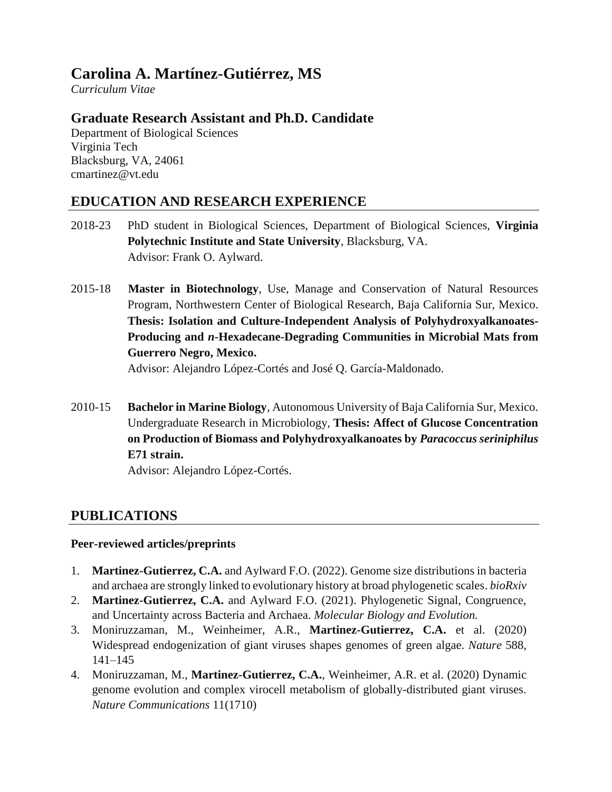# **Carolina A. Martínez-Gutiérrez, MS**

*Curriculum Vitae*

### **Graduate Research Assistant and Ph.D. Candidate**

Department of Biological Sciences Virginia Tech Blacksburg, VA, 24061 cmartinez@vt.edu

## **EDUCATION AND RESEARCH EXPERIENCE**

- 2018-23 PhD student in Biological Sciences, Department of Biological Sciences, **Virginia Polytechnic Institute and State University**, Blacksburg, VA. Advisor: Frank O. Aylward.
- 2015-18 **Master in Biotechnology**, Use, Manage and Conservation of Natural Resources Program, Northwestern Center of Biological Research, Baja California Sur, Mexico. **Thesis: Isolation and Culture-Independent Analysis of Polyhydroxyalkanoates-Producing and** *n-***Hexadecane-Degrading Communities in Microbial Mats from Guerrero Negro, Mexico.**

Advisor: Alejandro López-Cortés and José Q. García-Maldonado.

2010-15 **Bachelor in Marine Biology**, Autonomous University of Baja California Sur, Mexico. Undergraduate Research in Microbiology, **Thesis: Affect of Glucose Concentration on Production of Biomass and Polyhydroxyalkanoates by** *Paracoccus seriniphilus* **E71 strain.**

Advisor: Alejandro López-Cortés.

## **PUBLICATIONS**

#### **Peer-reviewed articles/preprints**

- 1. **Martinez-Gutierrez, C.A.** and Aylward F.O. (2022). Genome size distributions in bacteria and archaea are strongly linked to evolutionary history at broad phylogenetic scales. *bioRxiv*
- 2. **Martinez-Gutierrez, C.A.** and Aylward F.O. (2021). Phylogenetic Signal, Congruence, and Uncertainty across Bacteria and Archaea. *Molecular Biology and Evolution.*
- 3. Moniruzzaman, M., Weinheimer, A.R., **Martinez-Gutierrez, C.A.** et al. (2020) Widespread endogenization of giant viruses shapes genomes of green algae. *Nature* 588, 141–145
- 4. Moniruzzaman, M., **Martinez-Gutierrez, C.A.**, Weinheimer, A.R. et al. (2020) Dynamic genome evolution and complex virocell metabolism of globally-distributed giant viruses. *Nature Communications* 11(1710)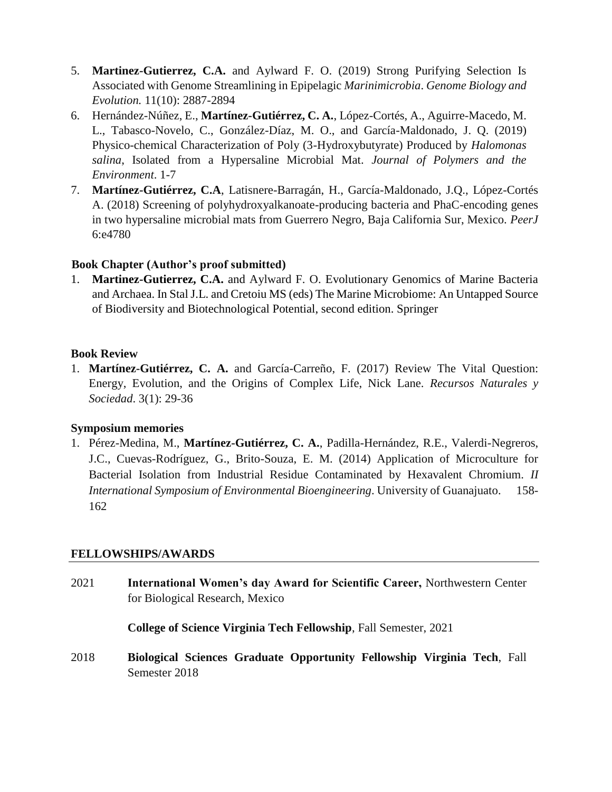- 5. **Martinez-Gutierrez, C.A.** and Aylward F. O. (2019) Strong Purifying Selection Is Associated with Genome Streamlining in Epipelagic *Marinimicrobia*. *Genome Biology and Evolution.* 11(10): 2887-2894
- 6. Hernández-Núñez, E., **Martínez-Gutiérrez, C. A.**, López-Cortés, A., Aguirre-Macedo, M. L., Tabasco-Novelo, C., González-Díaz, M. O., and García-Maldonado, J. Q. (2019) Physico-chemical Characterization of Poly (3-Hydroxybutyrate) Produced by *Halomonas salina*, Isolated from a Hypersaline Microbial Mat. *Journal of Polymers and the Environment*. 1-7
- 7. **Martínez-Gutiérrez, C.A**, Latisnere-Barragán, H., García-Maldonado, J.Q., López-Cortés A. (2018) Screening of polyhydroxyalkanoate-producing bacteria and PhaC-encoding genes in two hypersaline microbial mats from Guerrero Negro, Baja California Sur, Mexico. *PeerJ*  6:e4780

#### **Book Chapter (Author's proof submitted)**

1. **Martinez-Gutierrez, C.A.** and Aylward F. O. Evolutionary Genomics of Marine Bacteria and Archaea. In Stal J.L. and Cretoiu MS (eds) The Marine Microbiome: An Untapped Source of Biodiversity and Biotechnological Potential, second edition. Springer

#### **Book Review**

1. **Martínez-Gutiérrez, C. A.** and García-Carreño, F. (2017) Review The Vital Question: Energy, Evolution, and the Origins of Complex Life, Nick Lane. *Recursos Naturales y Sociedad*. 3(1): 29-36

#### **Symposium memories**

1. Pérez-Medina, M., **Martínez-Gutiérrez, C. A.**, Padilla-Hernández, R.E., Valerdi-Negreros, J.C., Cuevas-Rodríguez, G., Brito-Souza, E. M. (2014) Application of Microculture for Bacterial Isolation from Industrial Residue Contaminated by Hexavalent Chromium. *II International Symposium of Environmental Bioengineering*. University of Guanajuato. 158- 162

#### **FELLOWSHIPS/AWARDS**

2021 **International Women's day Award for Scientific Career,** Northwestern Center for Biological Research, Mexico

**College of Science Virginia Tech Fellowship**, Fall Semester, 2021

2018 **Biological Sciences Graduate Opportunity Fellowship Virginia Tech**, Fall Semester 2018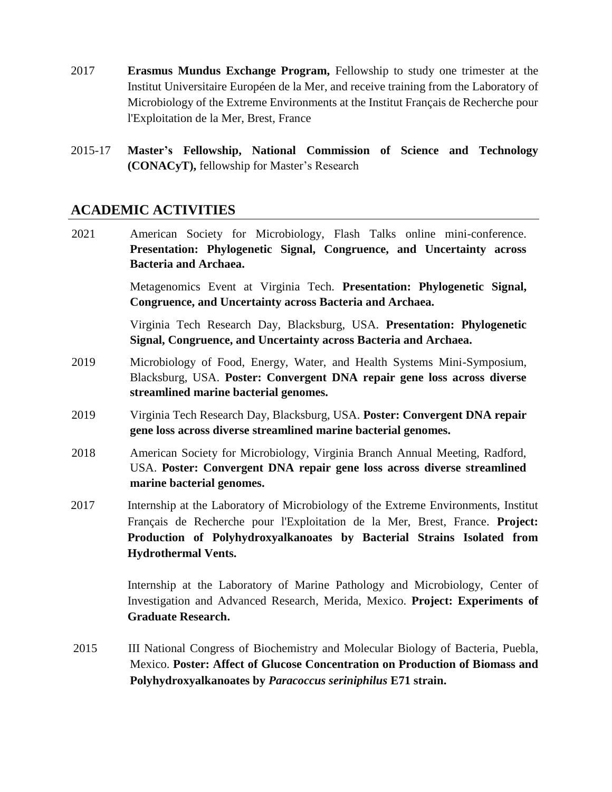- 2017 **Erasmus Mundus Exchange Program,** Fellowship to study one trimester at the Institut Universitaire Européen de la Mer, and receive training from the Laboratory of Microbiology of the Extreme Environments at the Institut Français de Recherche pour l'Exploitation de la Mer, Brest, France
- 2015-17 **Master's Fellowship, National Commission of Science and Technology (CONACyT),** fellowship for Master's Research

#### **ACADEMIC ACTIVITIES**

2021 American Society for Microbiology, Flash Talks online mini-conference. **Presentation: Phylogenetic Signal, Congruence, and Uncertainty across Bacteria and Archaea.**

> Metagenomics Event at Virginia Tech. **Presentation: Phylogenetic Signal, Congruence, and Uncertainty across Bacteria and Archaea.**

> Virginia Tech Research Day, Blacksburg, USA. **Presentation: Phylogenetic Signal, Congruence, and Uncertainty across Bacteria and Archaea.**

- 2019 Microbiology of Food, Energy, Water, and Health Systems Mini-Symposium, Blacksburg, USA. **Poster: Convergent DNA repair gene loss across diverse streamlined marine bacterial genomes.**
- 2019 Virginia Tech Research Day, Blacksburg, USA. **Poster: Convergent DNA repair gene loss across diverse streamlined marine bacterial genomes.**
- 2018 American Society for Microbiology, Virginia Branch Annual Meeting, Radford, USA. **Poster: Convergent DNA repair gene loss across diverse streamlined marine bacterial genomes.**
- 2017 Internship at the Laboratory of Microbiology of the Extreme Environments, Institut Français de Recherche pour l'Exploitation de la Mer, Brest, France. **Project: Production of Polyhydroxyalkanoates by Bacterial Strains Isolated from Hydrothermal Vents.**

Internship at the Laboratory of Marine Pathology and Microbiology, Center of Investigation and Advanced Research, Merida, Mexico. **Project: Experiments of Graduate Research.**

2015 III National Congress of Biochemistry and Molecular Biology of Bacteria, Puebla, Mexico. **Poster: Affect of Glucose Concentration on Production of Biomass and Polyhydroxyalkanoates by** *Paracoccus seriniphilus* **E71 strain.**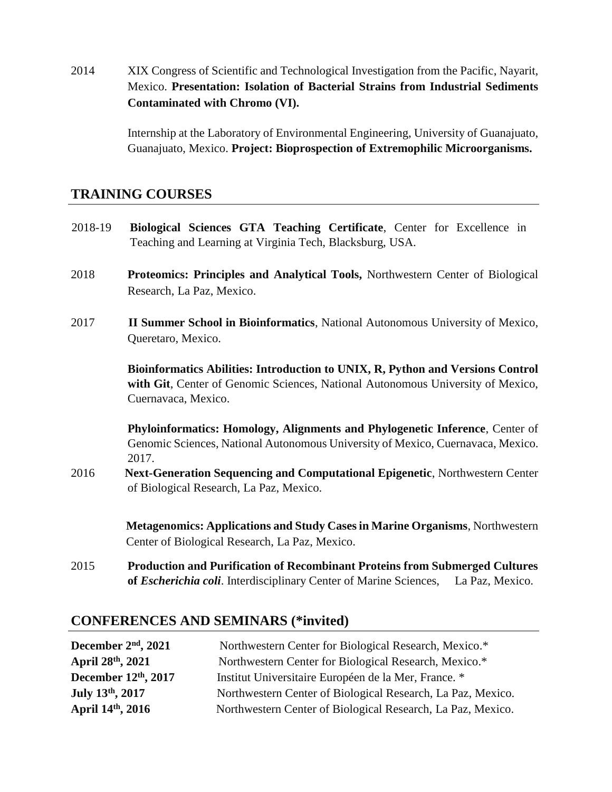2014 XIX Congress of Scientific and Technological Investigation from the Pacific, Nayarit, Mexico. **Presentation: Isolation of Bacterial Strains from Industrial Sediments Contaminated with Chromo (VI).**

> Internship at the Laboratory of Environmental Engineering, University of Guanajuato, Guanajuato, Mexico. **Project: Bioprospection of Extremophilic Microorganisms.**

#### **TRAINING COURSES**

- 2018-19 **Biological Sciences GTA Teaching Certificate**, Center for Excellence in Teaching and Learning at Virginia Tech, Blacksburg, USA.
- 2018 **Proteomics: Principles and Analytical Tools,** Northwestern Center of Biological Research, La Paz, Mexico.
- 2017 **II Summer School in Bioinformatics**, National Autonomous University of Mexico, Queretaro, Mexico.

**Bioinformatics Abilities: Introduction to UNIX, R, Python and Versions Control with Git**, Center of Genomic Sciences, National Autonomous University of Mexico, Cuernavaca, Mexico.

**Phyloinformatics: Homology, Alignments and Phylogenetic Inference**, Center of Genomic Sciences, National Autonomous University of Mexico, Cuernavaca, Mexico. 2017.

2016 **Next-Generation Sequencing and Computational Epigenetic**, Northwestern Center of Biological Research, La Paz, Mexico.

> **Metagenomics: Applications and Study Cases in Marine Organisms**, Northwestern Center of Biological Research, La Paz, Mexico.

2015 **Production and Purification of Recombinant Proteins from Submerged Cultures of** *Escherichia coli*. Interdisciplinary Center of Marine Sciences, La Paz, Mexico.

#### **CONFERENCES AND SEMINARS (\*invited)**

| December $2nd$ , 2021 | Northwestern Center for Biological Research, Mexico.*       |
|-----------------------|-------------------------------------------------------------|
| April 28th, 2021      | Northwestern Center for Biological Research, Mexico.*       |
| December 12th, 2017   | Institut Universitaire Européen de la Mer, France. *        |
| July 13th, 2017       | Northwestern Center of Biological Research, La Paz, Mexico. |
| April 14th, 2016      | Northwestern Center of Biological Research, La Paz, Mexico. |